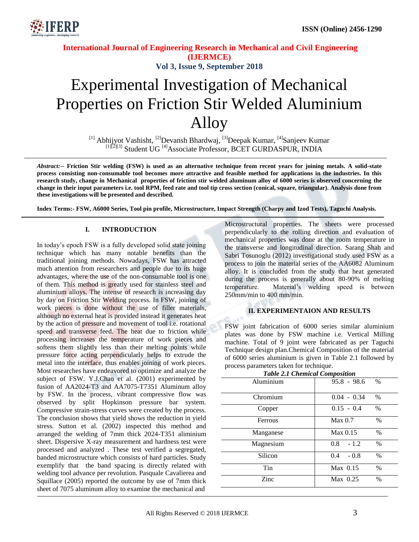

### **International Journal of Engineering Research in Mechanical and Civil Engineering (IJERMCE) Vol 3, Issue 9, September 2018**

# Experimental Investigation of Mechanical Properties on Friction Stir Welded Aluminium Alloy

<sup>[1]</sup> Abhijyot Vashisht, <sup>[2]</sup>Devansh Bhardwaj, <sup>[3]</sup>Deepak Kumar, <sup>[4]</sup>Sanjeev Kumar [1]<sup>[2][3]</sup> Student UG<sup>[4]</sup>Associate Professor, BCET GURDASPUR, INDIA

*Abstract:--* **Friction Stir welding (FSW) is used as an alternative technique from recent years for joining metals. A solid-state process consisting non-consumable tool becomes more attractive and feasible method for applications in the industries. In this research study, change in Mechanical properties of friction stir welded aluminum alloy of 6000 series is observed concerning the change in their input parameters i.e. tool RPM, feed rate and tool tip cross section (conical, square, triangular). Analysis done from these investigations will be presented and described.**

**Index Terms:- FSW, A6000 Series, Tool pin profile, Microstructure, Impact Strength (Charpy and Izod Tests), Taguchi Analysis.**

#### **I. INTRODUCTION**

In today's epoch FSW is a fully developed solid state joining technique which has many notable benefits than the traditional joining methods. Nowadays, FSW has attracted much attention from researchers and people due to its huge advantages, where the use of the non-consumable tool is one of them. This method is greatly used for stainless steel and aluminium alloys. The intense of research is increasing day by day on Friction Stir Welding process. In FSW, joining of work pieces is done without the use of filler materials, although no external heat is provided instead it generates heat by the action of pressure and movement of tool i.e. rotational speed and transverse feed. The heat due to friction while processing increases the temperature of work pieces and softens them slightly less than their melting points while pressure force acting perpendicularly helps to extrude the metal into the interface, thus enables joining of work pieces. Most researches have endeavored to optimize and analyze the subject of FSW. Y.J.Chao et al. (2001) experimented by fusion of AA2024-T3 and AA7075-T7351 Aluminum alloy by FSW. In the process, vibrant compressive flow was observed by split Hopkinson pressure bar system. Compressive strain-stress curves were created by the process. The conclusion shows that yield shows the reduction in yield stress. Sutton et al. (2002) inspected this method and arranged the welding of 7mm thick 2024-T351 aliminium sheet. Dispersive X-ray measurement and hardness test were processed and analyzed . These test verified a segregated, banded microstructure which consists of hard particles. Study exemplify that the band spacing is directly related with welding tool advance per revolution. Pasquale Cavalierea and Squillace (2005) reported the outcome by use of 7mm thick sheet of 7075 aluminum alloy to examine the mechanical and

Microstructural properties. The sheets were processed perpendicularly to the rolling direction and evaluation of mechanical properties was done at the room temperature in the transverse and longitudinal direction. Sarang Shah and Sabri Tosunoglu (2012) investigational study used FSW as a process to join the material series of the AA6082 Aluminum alloy. It is concluded from the study that heat generated during the process is generally about 80-90% of melting temperature. Material's welding speed is between 250mm/min to 400 mm/min.

#### **II. EXPERIMENTAION AND RESULTS**

FSW joint fabrication of 6000 series similar aluminium plates was done by FSW machine i.e. Vertical Milling machine. Total of 9 joint were fabricated as per Taguchi Technique design plan.Chemical Composition of the material of 6000 series aluminium is given in Table 2.1 followed by process parameters taken for technique.

| <b>Table 2.1 Chemical Composition</b> |               |               |
|---------------------------------------|---------------|---------------|
| Aluminium                             | $95.8 - 98.6$ | $\%$          |
| Chromium                              | $0.04 - 0.34$ | $\%$          |
| Copper                                | $0.15 - 0.4$  | $\frac{0}{0}$ |
| Ferrous                               | Max 0.7       | $\%$          |
| Manganese                             | Max 0.15      | $\frac{0}{0}$ |
| Magnesium                             | 0.8<br>$-1.2$ | $\frac{0}{0}$ |
| Silicon                               | 0.4<br>$-0.8$ | $\frac{0}{0}$ |
| Tin                                   | $Max$ 0.15    | $\frac{0}{0}$ |
| Zinc                                  | $Max$ 0.25    | $\frac{0}{0}$ |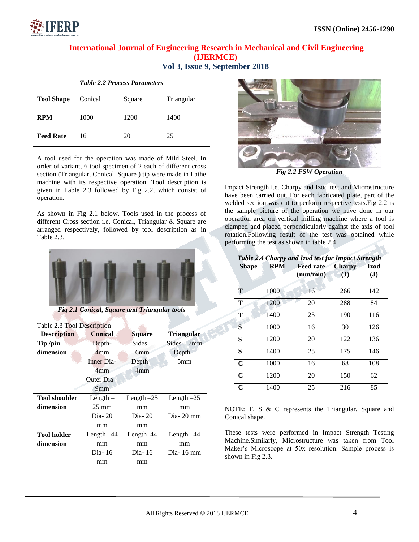

# **International Journal of Engineering Research in Mechanical and Civil Engineering (IJERMCE)**

|  |  |  | Vol 3, Issue 9, September 2018 |  |
|--|--|--|--------------------------------|--|
|--|--|--|--------------------------------|--|

|                   |         | <b>Table 2.2 Process Parameters</b> |            |
|-------------------|---------|-------------------------------------|------------|
| <b>Tool Shape</b> | Conical | Square                              | Triangular |
| <b>RPM</b>        | 1000    | 1200                                | 1400       |
| <b>Feed Rate</b>  | 16      | 20                                  | 25         |

A tool used for the operation was made of Mild Steel. In order of variant, 6 tool specimen of 2 each of different cross section (Triangular, Conical, Square ) tip were made in Lathe machine with its respective operation. Tool description is given in Table 2.3 followed by Fig 2.2, which consist of operation.

As shown in Fig 2.1 below, Tools used in the process of different Cross section i.e. Conical, Triangular & Square are arranged respectively, followed by tool description as in Table 2.3.



*Fig 2.1 Conical, Square and Triangular tools*

Table 2.3 Tool Description

| <b>Description</b>   | <b>Conical</b>  | <b>Square</b> | <b>Triangular</b> |
|----------------------|-----------------|---------------|-------------------|
| Tip /pin             | Depth-          | $Sides -$     | $Sides - 7mm$     |
| dimension            | 4 <sub>mm</sub> | 6mm           | $Depth-$          |
|                      | Inner Dia-      | $Depth-$      | 5 <sub>mm</sub>   |
|                      | 4mm             | 4mm           |                   |
|                      | Outer Dia –     |               |                   |
|                      | 9 <sub>mm</sub> |               |                   |
| <b>Tool shoulder</b> | Length $-$      | Length $-25$  | Length $-25$      |
| dimension            | $25 \text{ mm}$ | mm            | mm                |
|                      | $Dia-20$        | $Dia-20$      | $Dia-20$ mm       |
|                      | mm              | mm            |                   |
| <b>Tool holder</b>   | Length $-44$    | Length-44     | Length $-44$      |
| dimension            | mm              | mm            | mm                |
|                      | Dia-16          | Dia-16        | Dia-16 mm         |
|                      | mm              | mm            |                   |
|                      |                 |               |                   |



*Fig 2.2 FSW Operation*

Impact Strength i.e. Charpy and Izod test and Microstructure have been carried out. For each fabricated plate, part of the welded section was cut to perform respective tests.Fig 2.2 is the sample picture of the operation we have done in our operation area on vertical milling machine where a tool is clamped and placed perpendicularly against the axis of tool rotation.Following result of the test was obtained while performing the test as shown in table 2.4

| Table 2.4 Charpy and Izod test for Impact Strength |            |                              |                           |                      |
|----------------------------------------------------|------------|------------------------------|---------------------------|----------------------|
| <b>Shape</b>                                       | <b>RPM</b> | <b>Feed rate</b><br>(mm/min) | <b>Charpy</b><br>$\bf{J}$ | Izod<br>$\mathbf{J}$ |
| Т                                                  | 1000       | 16                           | 266                       | 142                  |
| Т                                                  | 1200       | 20                           | 288                       | 84                   |
| Т                                                  | 1400       | 25                           | 190                       | 116                  |
| <sub>S</sub>                                       | 1000       | 16                           | 30                        | 126                  |
| S                                                  | 1200       | 20                           | 122                       | 136                  |
| S                                                  | 1400       | 25                           | 175                       | 146                  |
| $\mathbf C$                                        | 1000       | 16                           | 68                        | 108                  |
| $\mathbf C$                                        | 1200       | 20                           | 150                       | 62                   |
| $\mathbf C$                                        | 1400       | 25                           | 216                       | 85                   |

NOTE: T, S & C represents the Triangular, Square and Conical shape.

These tests were performed in Impact Strength Testing Machine.Similarly, Microstructure was taken from Tool Maker's Microscope at 50x resolution. Sample process is shown in Fig 2.3.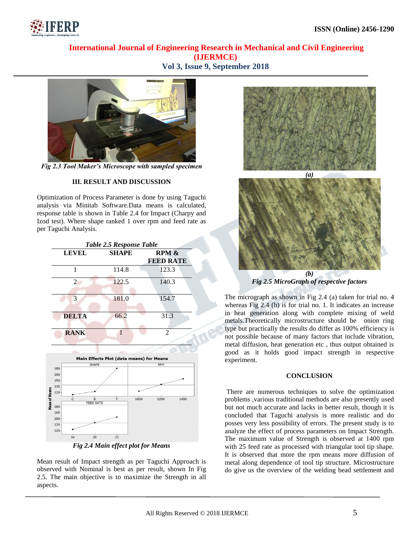

## **International Journal of Engineering Research in Mechanical and Civil Engineering (IJERMCE) Vol 3, Issue 9, September 2018**



*Fig 2.3 Tool Maker's Microscope with sampled specimen*

#### **III. RESULT AND DISCUSSION**

Optimization of Process Parameter is done by using Taguchi analysis via Minitab Software.Data means is calculated, response table is shown in Table 2.4 for Impact (Charpy and Izod test). Where shape ranked 1 over rpm and feed rate as per Taguchi Analysis.

|                | Table 2.5 Response Table |                                                 |      |                           |      |
|----------------|--------------------------|-------------------------------------------------|------|---------------------------|------|
| <b>LEVEL</b>   |                          | <b>SHAPE</b>                                    |      | RPM &<br><b>FEED RATE</b> |      |
| 1              |                          | 114.8                                           |      | 123.3                     |      |
| $\overline{c}$ |                          | 122.5                                           |      | 140.3                     |      |
| 3              |                          | 181.0                                           |      | 154.7                     |      |
| <b>DELTA</b>   |                          | 66.2                                            |      | 31.3                      |      |
| <b>RANK</b>    |                          | $\mathbf{1}$                                    |      | $\overline{2}$            |      |
|                |                          |                                                 |      |                           |      |
|                |                          | <b>Main Effects Plot (data means) for Means</b> |      |                           |      |
| 180            | <b>SHAPE</b>             |                                                 |      | <b>RPM</b>                |      |
| 165            |                          |                                                 |      |                           |      |
| 150            |                          |                                                 |      |                           |      |
| 135            |                          |                                                 |      |                           |      |
|                |                          |                                                 |      |                           |      |
| ċ              | s<br><b>FEED RATE</b>    | $\frac{1}{1}$                                   | 1000 | 1200                      | 1400 |
| 120<br>180     |                          |                                                 |      |                           |      |
| 165            |                          |                                                 |      |                           |      |
| 150            |                          |                                                 |      |                           |      |
| 135<br>120     |                          |                                                 |      |                           |      |



Mean result of Impact strength as per Taguchi Approach is observed with Nominal is best as per result, shown In Fig 2.5. The main objective is to maximize the Strength in all aspects.





*Fig 2.5 MicroGraph of respective factors*

The micrograph as shown in Fig 2.4 (a) taken for trial no. 4 whereas Fig 2.4 (b) is for trial no. 1. It indicates an increase in heat generation along with complete mixing of weld metals.Theoretically microstructure should be onion ring type but practically the results do differ as 100% efficiency is not possible because of many factors that include vibration, metal diffusion, heat generation etc , thus output obtained is good as it holds good impact strength in respective experiment.

#### **CONCLUSION**

There are numerous techniques to solve the optimization problems ,various traditional methods are also presently used but not much accurate and lacks in better result, though it is concluded that Taguchi analysis is more realistic and do posses very less possibility of errors. The present study is to analyze the effect of process parameters on Impact Strength. The maximum value of Strength is observed at 1400 rpm with 25 feed rate as processed with triangular tool tip shape. It is observed that more the rpm means more diffusion of metal along dependence of tool tip structure. Microstructure do give us the overview of the welding bead settlement and